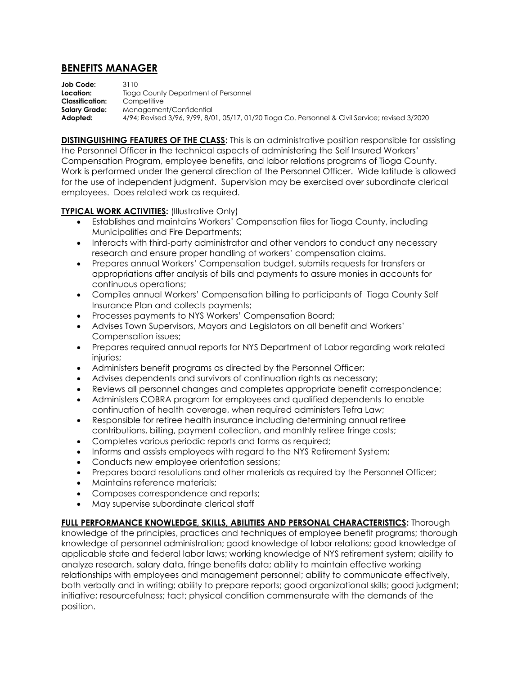## **BENEFITS MANAGER**

**Job Code:** 3110 **Location:** Tioga County Department of Personnel **Classification:** Competitive **Salary Grade:** Management/Confidential **Adopted:** 4/94; Revised 3/96, 9/99, 8/01, 05/17, 01/20 Tioga Co. Personnel & Civil Service; revised 3/2020

**DISTINGUISHING FEATURES OF THE CLASS:** This is an administrative position responsible for assisting the Personnel Officer in the technical aspects of administering the Self Insured Workers' Compensation Program, employee benefits, and labor relations programs of Tioga County. Work is performed under the general direction of the Personnel Officer. Wide latitude is allowed for the use of independent judgment. Supervision may be exercised over subordinate clerical employees. Does related work as required.

## **TYPICAL WORK ACTIVITIES:** (Illustrative Only)

- Establishes and maintains Workers' Compensation files for Tioga County, including Municipalities and Fire Departments;
- Interacts with third-party administrator and other vendors to conduct any necessary research and ensure proper handling of workers' compensation claims.
- Prepares annual Workers' Compensation budget, submits requests for transfers or appropriations after analysis of bills and payments to assure monies in accounts for continuous operations;
- Compiles annual Workers' Compensation billing to participants of Tioga County Self Insurance Plan and collects payments;
- Processes payments to NYS Workers' Compensation Board;
- Advises Town Supervisors, Mayors and Legislators on all benefit and Workers' Compensation issues;
- Prepares required annual reports for NYS Department of Labor regarding work related injuries;
- Administers benefit programs as directed by the Personnel Officer;
- Advises dependents and survivors of continuation rights as necessary;
- Reviews all personnel changes and completes appropriate benefit correspondence;
- Administers COBRA program for employees and qualified dependents to enable continuation of health coverage, when required administers Tefra Law;
- Responsible for retiree health insurance including determining annual retiree contributions, billing, payment collection, and monthly retiree fringe costs;
- Completes various periodic reports and forms as required;
- Informs and assists employees with regard to the NYS Retirement System;
- Conducts new employee orientation sessions;
- Prepares board resolutions and other materials as required by the Personnel Officer;
- Maintains reference materials;
- Composes correspondence and reports;
- May supervise subordinate clerical staff

**FULL PERFORMANCE KNOWLEDGE, SKILLS, ABILITIES AND PERSONAL CHARACTERISTICS:** Thorough knowledge of the principles, practices and techniques of employee benefit programs; thorough knowledge of personnel administration; good knowledge of labor relations; good knowledge of applicable state and federal labor laws; working knowledge of NYS retirement system; ability to analyze research, salary data, fringe benefits data; ability to maintain effective working relationships with employees and management personnel; ability to communicate effectively, both verbally and in writing; ability to prepare reports; good organizational skills; good judgment; initiative; resourcefulness; tact; physical condition commensurate with the demands of the position.